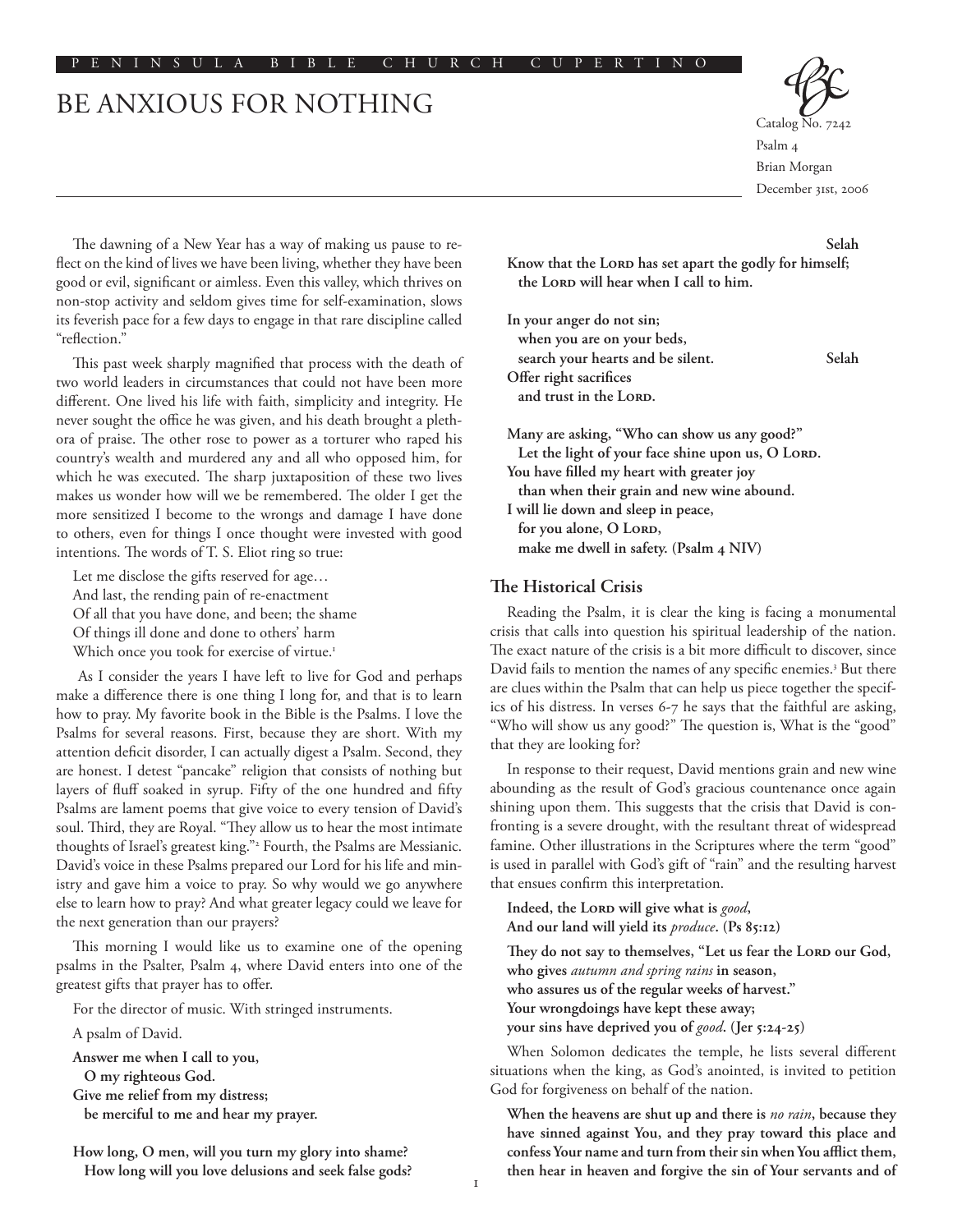#### P E N I N S U L A B I B L E C H U R C H C U P E R T I N O

# BE ANXIOUS FOR NOTHING



Catalog Psalm 4 Brian Morgan December 31st, 2006

The dawning of a New Year has a way of making us pause to reflect on the kind of lives we have been living, whether they have been good or evil, significant or aimless. Even this valley, which thrives on non-stop activity and seldom gives time for self-examination, slows its feverish pace for a few days to engage in that rare discipline called "reflection."

This past week sharply magnified that process with the death of two world leaders in circumstances that could not have been more different. One lived his life with faith, simplicity and integrity. He never sought the office he was given, and his death brought a plethora of praise. The other rose to power as a torturer who raped his country's wealth and murdered any and all who opposed him, for which he was executed. The sharp juxtaposition of these two lives makes us wonder how will we be remembered. The older I get the more sensitized I become to the wrongs and damage I have done to others, even for things I once thought were invested with good intentions. The words of T. S. Eliot ring so true:

Let me disclose the gifts reserved for age… And last, the rending pain of re-enactment Of all that you have done, and been; the shame Of things ill done and done to others' harm Which once you took for exercise of virtue.<sup>1</sup>

 As I consider the years I have left to live for God and perhaps make a difference there is one thing I long for, and that is to learn how to pray. My favorite book in the Bible is the Psalms. I love the Psalms for several reasons. First, because they are short. With my attention deficit disorder, I can actually digest a Psalm. Second, they are honest. I detest "pancake" religion that consists of nothing but layers of fluff soaked in syrup. Fifty of the one hundred and fifty Psalms are lament poems that give voice to every tension of David's soul. Third, they are Royal. "They allow us to hear the most intimate thoughts of Israel's greatest king."2 Fourth, the Psalms are Messianic. David's voice in these Psalms prepared our Lord for his life and ministry and gave him a voice to pray. So why would we go anywhere else to learn how to pray? And what greater legacy could we leave for the next generation than our prayers?

This morning I would like us to examine one of the opening psalms in the Psalter, Psalm 4, where David enters into one of the greatest gifts that prayer has to offer.

For the director of music. With stringed instruments.

A psalm of David.

**Answer me when I call to you, O my righteous God. Give me relief from my distress; be merciful to me and hear my prayer.** 

**How long, O men, will you turn my glory into shame? How long will you love delusions and seek false gods?**

### **Selah**

Know that the LORD has set apart the godly for himself; the LORD will hear when I call to him.

**In your anger do not sin; when you are on your beds, search your hearts and be silent. Selah Offer right sacrifices**  and trust in the LORD.

**Many are asking, "Who can show us any good?"**  Let the light of your face shine upon us, O Lord. **You have filled my heart with greater joy than when their grain and new wine abound. I will lie down and sleep in peace,**  for you alone, O Lord, **make me dwell in safety. (Psalm 4 NIV)**

### **The Historical Crisis**

Reading the Psalm, it is clear the king is facing a monumental crisis that calls into question his spiritual leadership of the nation. The exact nature of the crisis is a bit more difficult to discover, since David fails to mention the names of any specific enemies.<sup>3</sup> But there are clues within the Psalm that can help us piece together the specifics of his distress. In verses 6-7 he says that the faithful are asking, "Who will show us any good?" The question is, What is the "good" that they are looking for?

In response to their request, David mentions grain and new wine abounding as the result of God's gracious countenance once again shining upon them. This suggests that the crisis that David is confronting is a severe drought, with the resultant threat of widespread famine. Other illustrations in the Scriptures where the term "good" is used in parallel with God's gift of "rain" and the resulting harvest that ensues confirm this interpretation.

Indeed, the LORD will give what is good, **And our land will yield its** *produce***. (Ps 85:12)**

They do not say to themselves, "Let us fear the LORD our God, **who gives** *autumn and spring rains* **in season, who assures us of the regular weeks of harvest." Your wrongdoings have kept these away; your sins have deprived you of** *good***. (Jer 5:24-25)**

When Solomon dedicates the temple, he lists several different situations when the king, as God's anointed, is invited to petition God for forgiveness on behalf of the nation.

**When the heavens are shut up and there is** *no rain***, because they have sinned against You, and they pray toward this place and confess Your name and turn from their sin when You afflict them, then hear in heaven and forgive the sin of Your servants and of**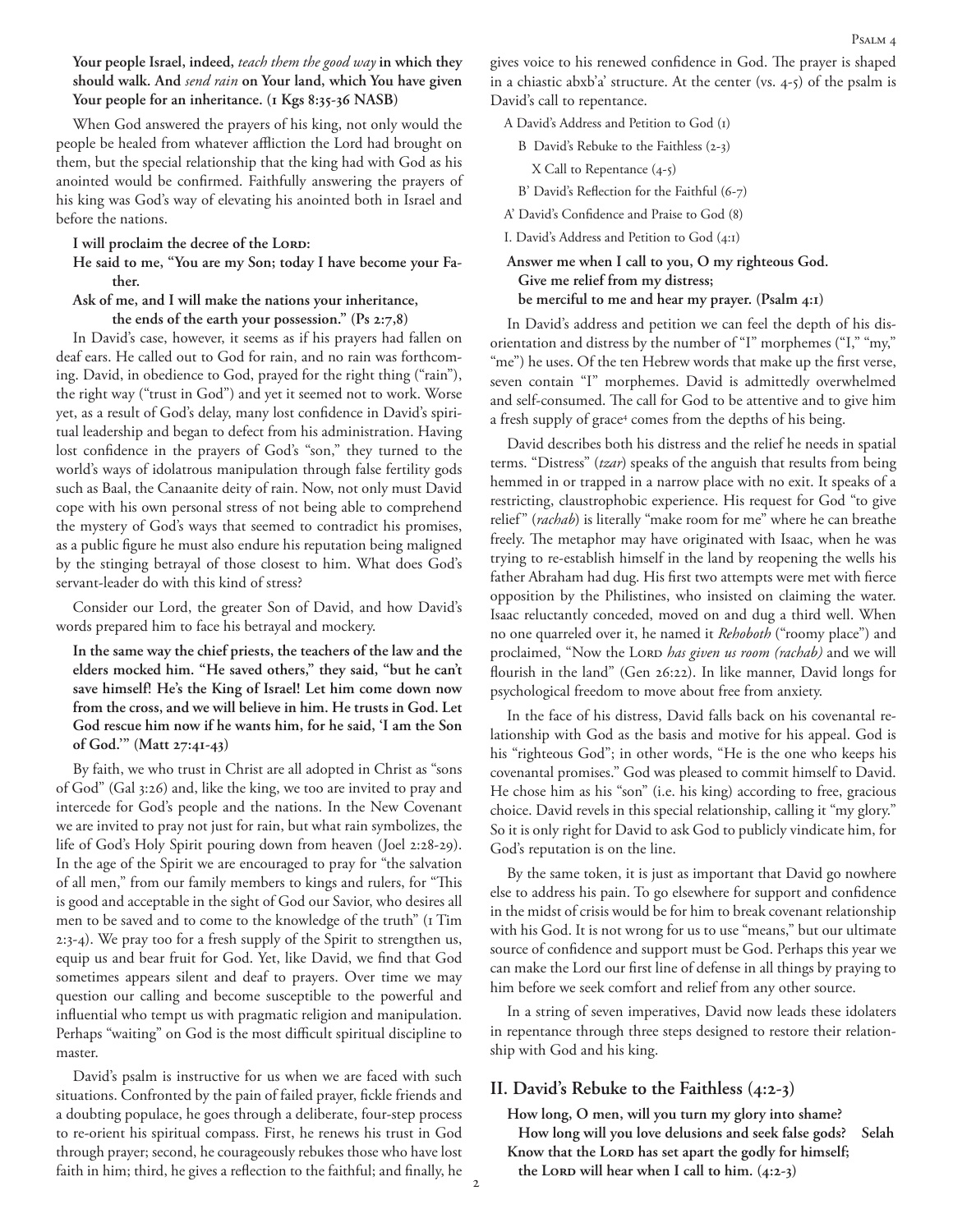**Your people Israel, indeed,** *teach them the good way* **in which they should walk. And** *send rain* **on Your land, which You have given**  Your people for an inheritance. (1 Kgs 8:35-36 NASB)

When God answered the prayers of his king, not only would the people be healed from whatever affliction the Lord had brought on them, but the special relationship that the king had with God as his anointed would be confirmed. Faithfully answering the prayers of his king was God's way of elevating his anointed both in Israel and before the nations.

### I will proclaim the decree of the LORD:

**He said to me, "You are my Son; today I have become your Father.** 

### **Ask of me, and I will make the nations your inheritance, the ends of the earth your possession." (Ps 2:7,8)**

In David's case, however, it seems as if his prayers had fallen on deaf ears. He called out to God for rain, and no rain was forthcoming. David, in obedience to God, prayed for the right thing ("rain"), the right way ("trust in God") and yet it seemed not to work. Worse yet, as a result of God's delay, many lost confidence in David's spiritual leadership and began to defect from his administration. Having lost confidence in the prayers of God's "son," they turned to the world's ways of idolatrous manipulation through false fertility gods such as Baal, the Canaanite deity of rain. Now, not only must David cope with his own personal stress of not being able to comprehend the mystery of God's ways that seemed to contradict his promises, as a public figure he must also endure his reputation being maligned by the stinging betrayal of those closest to him. What does God's servant-leader do with this kind of stress?

Consider our Lord, the greater Son of David, and how David's words prepared him to face his betrayal and mockery.

**In the same way the chief priests, the teachers of the law and the elders mocked him. "He saved others," they said, "but he can't save himself! He's the King of Israel! Let him come down now from the cross, and we will believe in him. He trusts in God. Let God rescue him now if he wants him, for he said, 'I am the Son of God.'" (Matt 27:41-43)**

By faith, we who trust in Christ are all adopted in Christ as "sons of God" (Gal 3:26) and, like the king, we too are invited to pray and intercede for God's people and the nations. In the New Covenant we are invited to pray not just for rain, but what rain symbolizes, the life of God's Holy Spirit pouring down from heaven (Joel 2:28-29). In the age of the Spirit we are encouraged to pray for "the salvation of all men," from our family members to kings and rulers, for "This is good and acceptable in the sight of God our Savior, who desires all men to be saved and to come to the knowledge of the truth" (1 Tim 2:3-4). We pray too for a fresh supply of the Spirit to strengthen us, equip us and bear fruit for God. Yet, like David, we find that God sometimes appears silent and deaf to prayers. Over time we may question our calling and become susceptible to the powerful and influential who tempt us with pragmatic religion and manipulation. Perhaps "waiting" on God is the most difficult spiritual discipline to master.

David's psalm is instructive for us when we are faced with such situations. Confronted by the pain of failed prayer, fickle friends and a doubting populace, he goes through a deliberate, four-step process to re-orient his spiritual compass. First, he renews his trust in God through prayer; second, he courageously rebukes those who have lost faith in him; third, he gives a reflection to the faithful; and finally, he gives voice to his renewed confidence in God. The prayer is shaped in a chiastic abxb'a' structure. At the center (vs. 4-5) of the psalm is David's call to repentance.

A David's Address and Petition to God (1)

B David's Rebuke to the Faithless (2-3)

X Call to Repentance (4-5)

B' David's Reflection for the Faithful (6-7)

A' David's Confidence and Praise to God (8)

I. David's Address and Petition to God (4:1)

**Answer me when I call to you, O my righteous God. Give me relief from my distress; be merciful to me and hear my prayer. (Psalm 4:1)**

In David's address and petition we can feel the depth of his disorientation and distress by the number of "I" morphemes ("I," "my," "me") he uses. Of the ten Hebrew words that make up the first verse, seven contain "I" morphemes. David is admittedly overwhelmed and self-consumed. The call for God to be attentive and to give him a fresh supply of grace<sup>4</sup> comes from the depths of his being.

David describes both his distress and the relief he needs in spatial terms. "Distress" (*tzar*) speaks of the anguish that results from being hemmed in or trapped in a narrow place with no exit. It speaks of a restricting, claustrophobic experience. His request for God "to give relief" (*rachab*) is literally "make room for me" where he can breathe freely. The metaphor may have originated with Isaac, when he was trying to re-establish himself in the land by reopening the wells his father Abraham had dug. His first two attempts were met with fierce opposition by the Philistines, who insisted on claiming the water. Isaac reluctantly conceded, moved on and dug a third well. When no one quarreled over it, he named it *Rehoboth* ("roomy place") and proclaimed, "Now the Lorp *has given us room (rachab)* and we will flourish in the land" (Gen 26:22). In like manner, David longs for psychological freedom to move about free from anxiety.

In the face of his distress, David falls back on his covenantal relationship with God as the basis and motive for his appeal. God is his "righteous God"; in other words, "He is the one who keeps his covenantal promises." God was pleased to commit himself to David. He chose him as his "son" (i.e. his king) according to free, gracious choice. David revels in this special relationship, calling it "my glory." So it is only right for David to ask God to publicly vindicate him, for God's reputation is on the line.

By the same token, it is just as important that David go nowhere else to address his pain. To go elsewhere for support and confidence in the midst of crisis would be for him to break covenant relationship with his God. It is not wrong for us to use "means," but our ultimate source of confidence and support must be God. Perhaps this year we can make the Lord our first line of defense in all things by praying to him before we seek comfort and relief from any other source.

In a string of seven imperatives, David now leads these idolaters in repentance through three steps designed to restore their relationship with God and his king.

# **II. David's Rebuke to the Faithless (4:2-3)**

**How long, O men, will you turn my glory into shame? How long will you love delusions and seek false gods? Selah** Know that the LORD has set apart the godly for himself; the Lord will hear when I call to him. (4:2-3)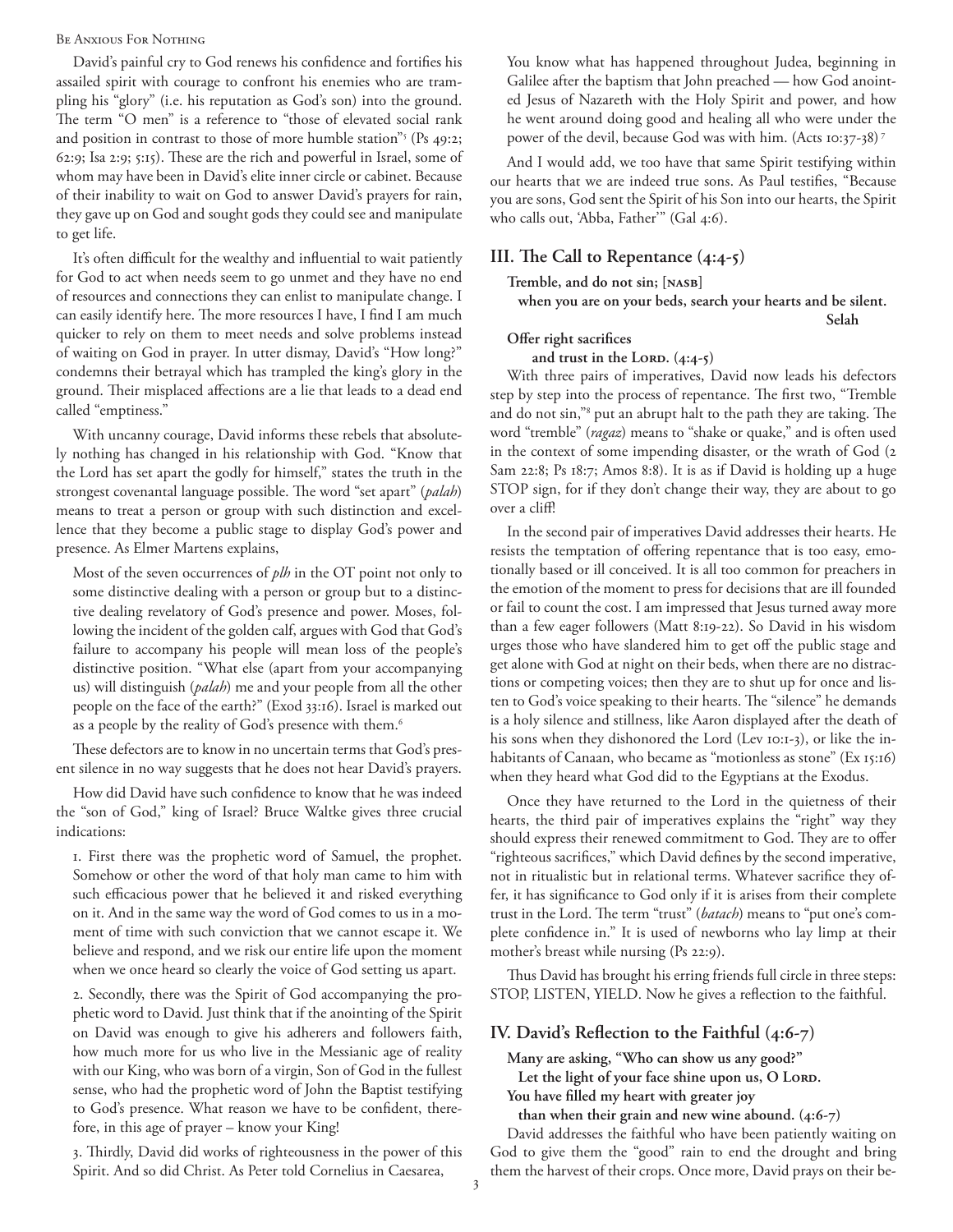### Be Anxious For Nothing

David's painful cry to God renews his confidence and fortifies his assailed spirit with courage to confront his enemies who are trampling his "glory" (i.e. his reputation as God's son) into the ground. The term "O men" is a reference to "those of elevated social rank and position in contrast to those of more humble station"<sup>5</sup> (Ps 49:2; 62:9; Isa 2:9; 5:15). These are the rich and powerful in Israel, some of whom may have been in David's elite inner circle or cabinet. Because of their inability to wait on God to answer David's prayers for rain, they gave up on God and sought gods they could see and manipulate to get life.

It's often difficult for the wealthy and influential to wait patiently for God to act when needs seem to go unmet and they have no end of resources and connections they can enlist to manipulate change. I can easily identify here. The more resources I have, I find I am much quicker to rely on them to meet needs and solve problems instead of waiting on God in prayer. In utter dismay, David's "How long?" condemns their betrayal which has trampled the king's glory in the ground. Their misplaced affections are a lie that leads to a dead end called "emptiness."

With uncanny courage, David informs these rebels that absolutely nothing has changed in his relationship with God. "Know that the Lord has set apart the godly for himself," states the truth in the strongest covenantal language possible. The word "set apart" (*palah*) means to treat a person or group with such distinction and excellence that they become a public stage to display God's power and presence. As Elmer Martens explains,

Most of the seven occurrences of *plh* in the OT point not only to some distinctive dealing with a person or group but to a distinctive dealing revelatory of God's presence and power. Moses, following the incident of the golden calf, argues with God that God's failure to accompany his people will mean loss of the people's distinctive position. "What else (apart from your accompanying us) will distinguish (*palah*) me and your people from all the other people on the face of the earth?" (Exod 33:16). Israel is marked out as a people by the reality of God's presence with them.<sup>6</sup>

These defectors are to know in no uncertain terms that God's present silence in no way suggests that he does not hear David's prayers.

How did David have such confidence to know that he was indeed the "son of God," king of Israel? Bruce Waltke gives three crucial indications:

1. First there was the prophetic word of Samuel, the prophet. Somehow or other the word of that holy man came to him with such efficacious power that he believed it and risked everything on it. And in the same way the word of God comes to us in a moment of time with such conviction that we cannot escape it. We believe and respond, and we risk our entire life upon the moment when we once heard so clearly the voice of God setting us apart.

2. Secondly, there was the Spirit of God accompanying the prophetic word to David. Just think that if the anointing of the Spirit on David was enough to give his adherers and followers faith, how much more for us who live in the Messianic age of reality with our King, who was born of a virgin, Son of God in the fullest sense, who had the prophetic word of John the Baptist testifying to God's presence. What reason we have to be confident, therefore, in this age of prayer – know your King!

3. Thirdly, David did works of righteousness in the power of this Spirit. And so did Christ. As Peter told Cornelius in Caesarea,

You know what has happened throughout Judea, beginning in Galilee after the baptism that John preached — how God anointed Jesus of Nazareth with the Holy Spirit and power, and how he went around doing good and healing all who were under the power of the devil, because God was with him. (Acts 10:37-38) 7

And I would add, we too have that same Spirit testifying within our hearts that we are indeed true sons. As Paul testifies, "Because you are sons, God sent the Spirit of his Son into our hearts, the Spirit who calls out, 'Abba, Father'" (Gal 4:6).

# **III. The Call to Repentance (4:4-5)**

**Tremble, and do not sin; [NASB]**

**when you are on your beds, search your hearts and be silent. Selah**

# **Offer right sacrifices**

and trust in the LORD.  $(4:4-5)$ 

With three pairs of imperatives, David now leads his defectors step by step into the process of repentance. The first two, "Tremble and do not sin,"8 put an abrupt halt to the path they are taking. The word "tremble" (*ragaz*) means to "shake or quake," and is often used in the context of some impending disaster, or the wrath of God (2 Sam 22:8; Ps 18:7; Amos 8:8). It is as if David is holding up a huge STOP sign, for if they don't change their way, they are about to go over a cliff!

In the second pair of imperatives David addresses their hearts. He resists the temptation of offering repentance that is too easy, emotionally based or ill conceived. It is all too common for preachers in the emotion of the moment to press for decisions that are ill founded or fail to count the cost. I am impressed that Jesus turned away more than a few eager followers (Matt 8:19-22). So David in his wisdom urges those who have slandered him to get off the public stage and get alone with God at night on their beds, when there are no distractions or competing voices; then they are to shut up for once and listen to God's voice speaking to their hearts. The "silence" he demands is a holy silence and stillness, like Aaron displayed after the death of his sons when they dishonored the Lord (Lev 10:1-3), or like the inhabitants of Canaan, who became as "motionless as stone" (Ex 15:16) when they heard what God did to the Egyptians at the Exodus.

Once they have returned to the Lord in the quietness of their hearts, the third pair of imperatives explains the "right" way they should express their renewed commitment to God. They are to offer "righteous sacrifices," which David defines by the second imperative, not in ritualistic but in relational terms. Whatever sacrifice they offer, it has significance to God only if it is arises from their complete trust in the Lord. The term "trust" (*batach*) means to "put one's complete confidence in." It is used of newborns who lay limp at their mother's breast while nursing (Ps 22:9).

Thus David has brought his erring friends full circle in three steps: STOP, LISTEN, YIELD. Now he gives a reflection to the faithful.

# **IV. David's Reflection to the Faithful (4:6-7)**

**Many are asking, "Who can show us any good?"**  Let the light of your face shine upon us, O Lord. **You have filled my heart with greater joy** 

**than when their grain and new wine abound. (4:6-7)**

David addresses the faithful who have been patiently waiting on God to give them the "good" rain to end the drought and bring them the harvest of their crops. Once more, David prays on their be